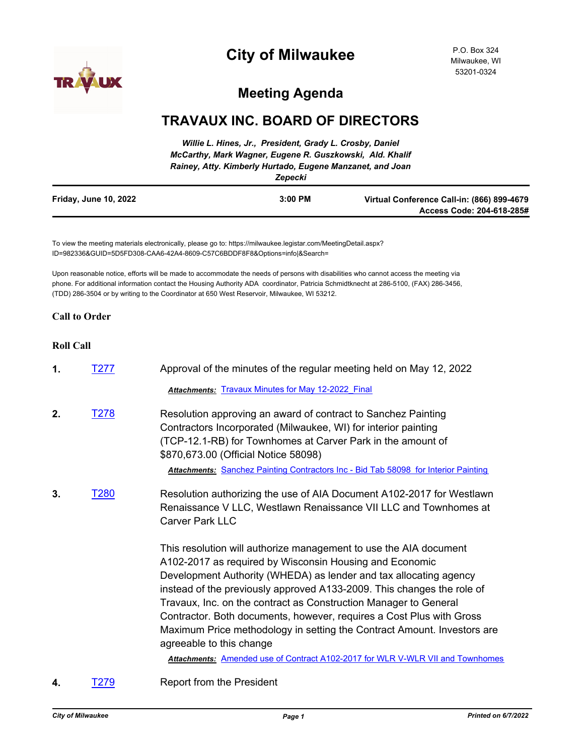

# **City of Milwaukee**

P.O. Box 324 Milwaukee, WI 53201-0324

## **Meeting Agenda**

### **TRAVAUX INC. BOARD OF DIRECTORS**

|                       | Willie L. Hines, Jr., President, Grady L. Crosby, Daniel<br>McCarthy, Mark Wagner, Eugene R. Guszkowski, Ald. Khalif<br>Rainey, Atty. Kimberly Hurtado, Eugene Manzanet, and Joan<br>Zepecki |                                                                         |
|-----------------------|----------------------------------------------------------------------------------------------------------------------------------------------------------------------------------------------|-------------------------------------------------------------------------|
| Friday, June 10, 2022 | $3:00$ PM                                                                                                                                                                                    | Virtual Conference Call-in: (866) 899-4679<br>Access Code: 204-618-285# |

To view the meeting materials electronically, please go to: https://milwaukee.legistar.com/MeetingDetail.aspx? ID=982336&GUID=5D5FD308-CAA6-42A4-8609-C57C6BDDF8F8&Options=info|&Search=

Upon reasonable notice, efforts will be made to accommodate the needs of persons with disabilities who cannot access the meeting via phone. For additional information contact the Housing Authority ADA coordinator, Patricia Schmidtknecht at 286-5100, (FAX) 286-3456, (TDD) 286-3504 or by writing to the Coordinator at 650 West Reservoir, Milwaukee, WI 53212.

#### **Call to Order**

#### **Roll Call**

 $\blacksquare$ 

| 1. | T277             | Approval of the minutes of the regular meeting held on May 12, 2022                                                                                                                                                                                                                                                                                                                                                                                                                                                            |  |
|----|------------------|--------------------------------------------------------------------------------------------------------------------------------------------------------------------------------------------------------------------------------------------------------------------------------------------------------------------------------------------------------------------------------------------------------------------------------------------------------------------------------------------------------------------------------|--|
|    |                  | <b>Attachments: Travaux Minutes for May 12-2022 Final</b>                                                                                                                                                                                                                                                                                                                                                                                                                                                                      |  |
| 2. | T <sub>278</sub> | Resolution approving an award of contract to Sanchez Painting<br>Contractors Incorporated (Milwaukee, WI) for interior painting<br>(TCP-12.1-RB) for Townhomes at Carver Park in the amount of<br>\$870,673.00 (Official Notice 58098)<br>Attachments: Sanchez Painting Contractors Inc - Bid Tab 58098 for Interior Painting                                                                                                                                                                                                  |  |
| 3. | T <sub>280</sub> | Resolution authorizing the use of AIA Document A102-2017 for Westlawn<br>Renaissance V LLC, Westlawn Renaissance VII LLC and Townhomes at<br><b>Carver Park LLC</b>                                                                                                                                                                                                                                                                                                                                                            |  |
|    |                  | This resolution will authorize management to use the AIA document<br>A102-2017 as required by Wisconsin Housing and Economic<br>Development Authority (WHEDA) as lender and tax allocating agency<br>instead of the previously approved A133-2009. This changes the role of<br>Travaux, Inc. on the contract as Construction Manager to General<br>Contractor. Both documents, however, requires a Cost Plus with Gross<br>Maximum Price methodology in setting the Contract Amount. Investors are<br>agreeable to this change |  |
|    |                  | Attachments: Amended use of Contract A102-2017 for WLR V-WLR VII and Townhomes                                                                                                                                                                                                                                                                                                                                                                                                                                                 |  |
| 4. | T279             | <b>Report from the President</b>                                                                                                                                                                                                                                                                                                                                                                                                                                                                                               |  |